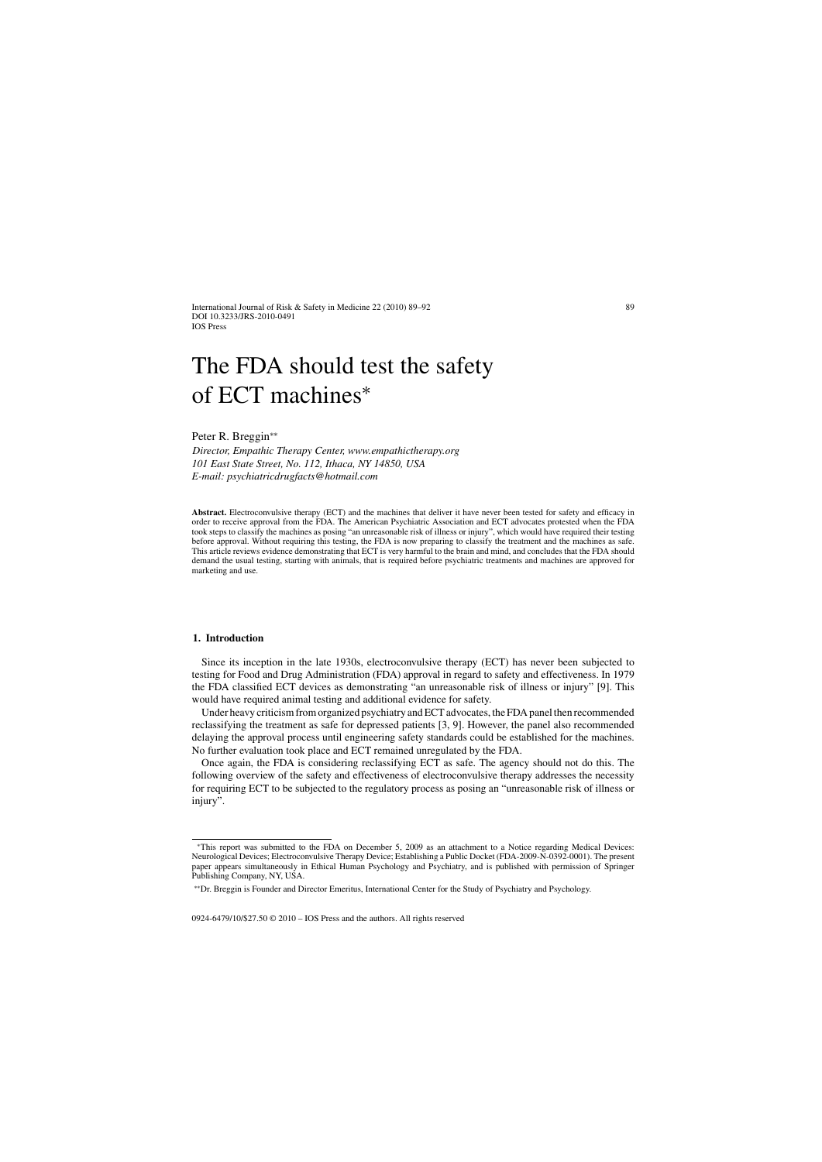International Journal of Risk & Safety in Medicine 22 (2010) 89–92 DOI 10.3233/JRS-2010-0491 IOS Press

# The FDA should test the safety of ECT machines<sup>∗</sup>

Peter R. Breggin∗∗

*Director, Empathic Therapy Center,<www.empathictherapy.org> 101 East State Street, No. 112, Ithaca, NY 14850, USA E-mail: [psychiatricdrugfacts@hotmail.com](mailto:psychiatricdrugfacts@hotmail.com)*

**Abstract.** Electroconvulsive therapy (ECT) and the machines that deliver it have never been tested for safety and efficacy in order to receive approval from the FDA. The American Psychiatric Association and ECT advocates protested when the FDA took steps to classify the machines as posing "an unreasonable risk of illness or injury", which would have required their testing before approval. Without requiring this testing, the FDA is now preparing to classify the treatment and the machines as safe. This article reviews evidence demonstrating that ECT is very harmful to the brain and mind, and concludes that the FDA should demand the usual testing, starting with animals, that is required before psychiatric treatments and machines are approved for marketing and use.

#### **1. Introduction**

Since its inception in the late 1930s, electroconvulsive therapy (ECT) has never been subjected to testing for Food and Drug Administration (FDA) approval in regard to safety and effectiveness. In 1979 the FDA classified ECT devices as demonstrating "an unreasonable risk of illness or injury" [9]. This would have required animal testing and additional evidence for safety.

Under heavy criticism from organized psychiatry and ECT advocates, the FDA panel then recommended reclassifying the treatment as safe for depressed patients [3, 9]. However, the panel also recommended delaying the approval process until engineering safety standards could be established for the machines. No further evaluation took place and ECT remained unregulated by the FDA.

Once again, the FDA is considering reclassifying ECT as safe. The agency should not do this. The following overview of the safety and effectiveness of electroconvulsive therapy addresses the necessity for requiring ECT to be subjected to the regulatory process as posing an "unreasonable risk of illness or injury".

0924-6479/10/\$27.50 © 2010 – IOS Press and the authors. All rights reserved

<sup>∗</sup>This report was submitted to the FDA on December 5, 2009 as an attachment to a Notice regarding Medical Devices: Neurological Devices; Electroconvulsive Therapy Device; Establishing a Public Docket (FDA-2009-N-0392-0001). The present paper appears simultaneously in Ethical Human Psychology and Psychiatry, and is published with permission of Springer Publishing Company, NY, USA.

<sup>∗∗</sup>Dr. Breggin is Founder and Director Emeritus, International Center for the Study of Psychiatry and Psychology.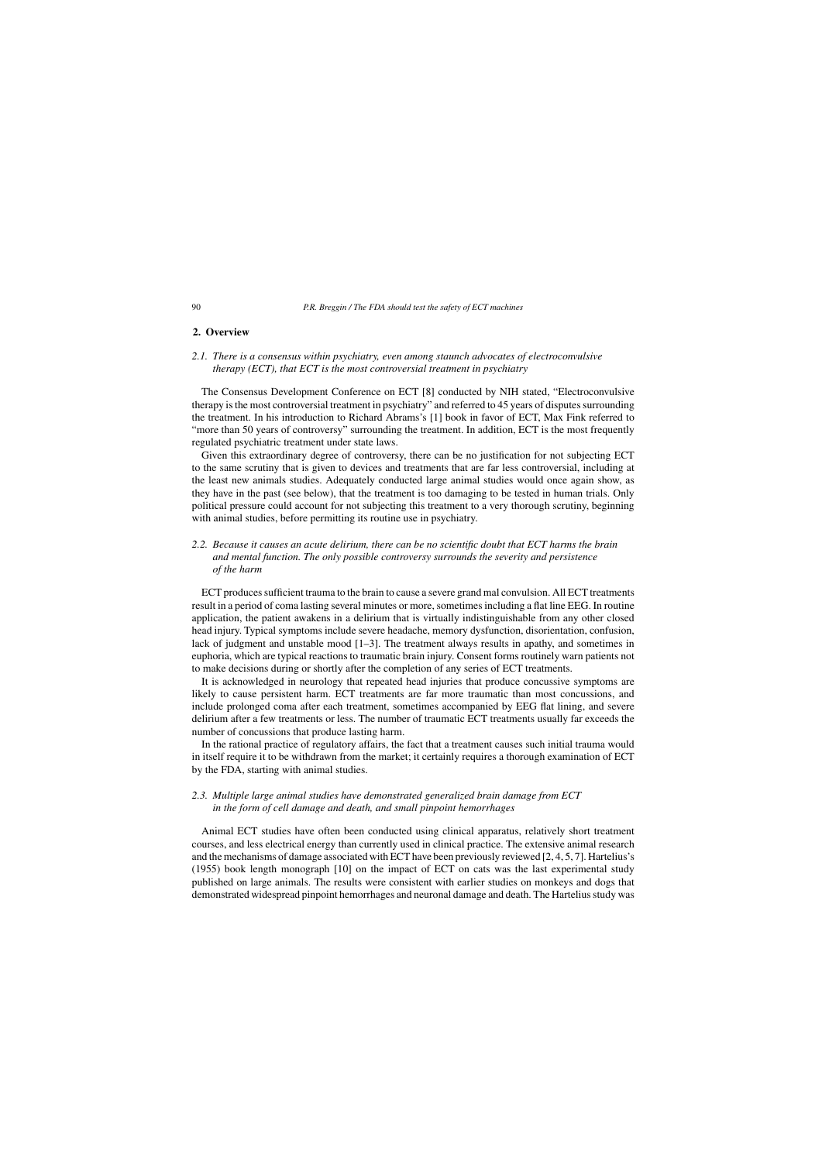#### **2. Overview**

## *2.1. There is a consensus within psychiatry, even among staunch advocates of electroconvulsive therapy (ECT), that ECT is the most controversial treatment in psychiatry*

The Consensus Development Conference on ECT [8] conducted by NIH stated, "Electroconvulsive therapy is the most controversial treatment in psychiatry" and referred to 45 years of disputes surrounding the treatment. In his introduction to Richard Abrams's [1] book in favor of ECT, Max Fink referred to "more than 50 years of controversy" surrounding the treatment. In addition, ECT is the most frequently regulated psychiatric treatment under state laws.

Given this extraordinary degree of controversy, there can be no justification for not subjecting ECT to the same scrutiny that is given to devices and treatments that are far less controversial, including at the least new animals studies. Adequately conducted large animal studies would once again show, as they have in the past (see below), that the treatment is too damaging to be tested in human trials. Only political pressure could account for not subjecting this treatment to a very thorough scrutiny, beginning with animal studies, before permitting its routine use in psychiatry.

# *2.2. Because it causes an acute delirium, there can be no scientific doubt that ECT harms the brain and mental function. The only possible controversy surrounds the severity and persistence of the harm*

ECT produces sufficient trauma to the brain to cause a severe grand mal convulsion. All ECT treatments result in a period of coma lasting several minutes or more, sometimes including a flat line EEG. In routine application, the patient awakens in a delirium that is virtually indistinguishable from any other closed head injury. Typical symptoms include severe headache, memory dysfunction, disorientation, confusion, lack of judgment and unstable mood [1–3]. The treatment always results in apathy, and sometimes in euphoria, which are typical reactions to traumatic brain injury. Consent forms routinely warn patients not to make decisions during or shortly after the completion of any series of ECT treatments.

It is acknowledged in neurology that repeated head injuries that produce concussive symptoms are likely to cause persistent harm. ECT treatments are far more traumatic than most concussions, and include prolonged coma after each treatment, sometimes accompanied by EEG flat lining, and severe delirium after a few treatments or less. The number of traumatic ECT treatments usually far exceeds the number of concussions that produce lasting harm.

In the rational practice of regulatory affairs, the fact that a treatment causes such initial trauma would in itself require it to be withdrawn from the market; it certainly requires a thorough examination of ECT by the FDA, starting with animal studies.

# *2.3. Multiple large animal studies have demonstrated generalized brain damage from ECT in the form of cell damage and death, and small pinpoint hemorrhages*

Animal ECT studies have often been conducted using clinical apparatus, relatively short treatment courses, and less electrical energy than currently used in clinical practice. The extensive animal research and the mechanisms of damage associated with ECT have been previously reviewed [2, 4, 5, 7]. Hartelius's (1955) book length monograph [10] on the impact of ECT on cats was the last experimental study published on large animals. The results were consistent with earlier studies on monkeys and dogs that demonstrated widespread pinpoint hemorrhages and neuronal damage and death. The Hartelius study was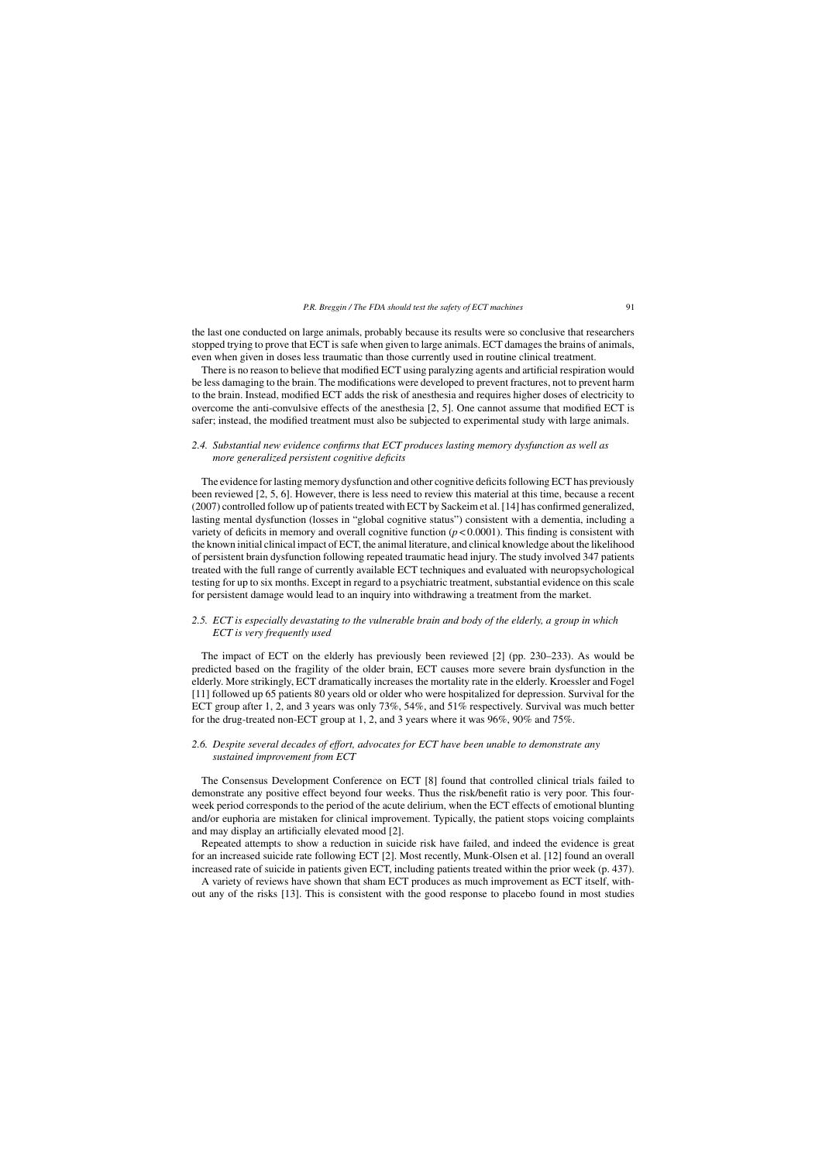the last one conducted on large animals, probably because its results were so conclusive that researchers stopped trying to prove that ECT is safe when given to large animals. ECT damages the brains of animals, even when given in doses less traumatic than those currently used in routine clinical treatment.

There is no reason to believe that modified ECT using paralyzing agents and artificial respiration would be less damaging to the brain. The modifications were developed to prevent fractures, not to prevent harm to the brain. Instead, modified ECT adds the risk of anesthesia and requires higher doses of electricity to overcome the anti-convulsive effects of the anesthesia [2, 5]. One cannot assume that modified ECT is safer; instead, the modified treatment must also be subjected to experimental study with large animals.

## *2.4. Substantial new evidence confirms that ECT produces lasting memory dysfunction as well as more generalized persistent cognitive deficits*

The evidence for lasting memory dysfunction and other cognitive deficits following ECT has previously been reviewed [2, 5, 6]. However, there is less need to review this material at this time, because a recent (2007) controlled follow up of patients treated with ECT by Sackeim et al. [14] has confirmed generalized, lasting mental dysfunction (losses in "global cognitive status") consistent with a dementia, including a variety of deficits in memory and overall cognitive function (*p* < 0.0001). This finding is consistent with the known initial clinical impact of ECT, the animal literature, and clinical knowledge about the likelihood of persistent brain dysfunction following repeated traumatic head injury. The study involved 347 patients treated with the full range of currently available ECT techniques and evaluated with neuropsychological testing for up to six months. Except in regard to a psychiatric treatment, substantial evidence on this scale for persistent damage would lead to an inquiry into withdrawing a treatment from the market.

## *2.5. ECT is especially devastating to the vulnerable brain and body of the elderly, a group in which ECT is very frequently used*

The impact of ECT on the elderly has previously been reviewed [2] (pp. 230–233). As would be predicted based on the fragility of the older brain, ECT causes more severe brain dysfunction in the elderly. More strikingly, ECT dramatically increases the mortality rate in the elderly. Kroessler and Fogel [11] followed up 65 patients 80 years old or older who were hospitalized for depression. Survival for the ECT group after 1, 2, and 3 years was only 73%, 54%, and 51% respectively. Survival was much better for the drug-treated non-ECT group at 1, 2, and 3 years where it was 96%, 90% and 75%.

## *2.6. Despite several decades of effort, advocates for ECT have been unable to demonstrate any sustained improvement from ECT*

The Consensus Development Conference on ECT [8] found that controlled clinical trials failed to demonstrate any positive effect beyond four weeks. Thus the risk/benefit ratio is very poor. This fourweek period corresponds to the period of the acute delirium, when the ECT effects of emotional blunting and/or euphoria are mistaken for clinical improvement. Typically, the patient stops voicing complaints and may display an artificially elevated mood [2].

Repeated attempts to show a reduction in suicide risk have failed, and indeed the evidence is great for an increased suicide rate following ECT [2]. Most recently, Munk-Olsen et al. [12] found an overall increased rate of suicide in patients given ECT, including patients treated within the prior week (p. 437).

A variety of reviews have shown that sham ECT produces as much improvement as ECT itself, without any of the risks [13]. This is consistent with the good response to placebo found in most studies